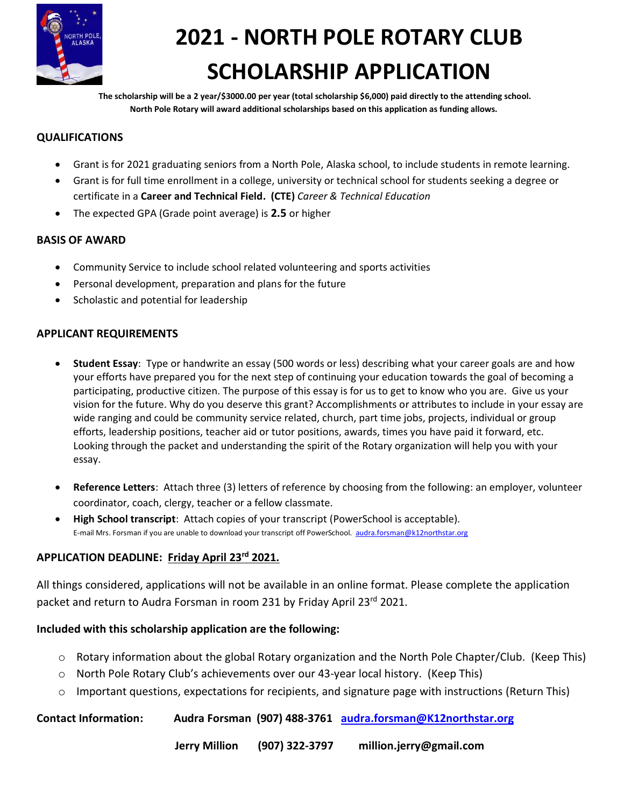

# **2021 - NORTH POLE ROTARY CLUB SCHOLARSHIP APPLICATION**

 **The scholarship will be a 2 year/\$3000.00 per year (total scholarship \$6,000) paid directly to the attending school. North Pole Rotary will award additional scholarships based on this application as funding allows.** 

### **QUALIFICATIONS**

- Grant is for 2021 graduating seniors from a North Pole, Alaska school, to include students in remote learning.
- Grant is for full time enrollment in a college, university or technical school for students seeking a degree or certificate in a **Career and Technical Field. (CTE)** *Career & Technical Education*
- The expected GPA (Grade point average) is **2.5** or higher

#### **BASIS OF AWARD**

- Community Service to include school related volunteering and sports activities
- Personal development, preparation and plans for the future
- Scholastic and potential for leadership

#### **APPLICANT REQUIREMENTS**

- **Student Essay**: Type or handwrite an essay (500 words or less) describing what your career goals are and how your efforts have prepared you for the next step of continuing your education towards the goal of becoming a participating, productive citizen. The purpose of this essay is for us to get to know who you are. Give us your vision for the future. Why do you deserve this grant? Accomplishments or attributes to include in your essay are wide ranging and could be community service related, church, part time jobs, projects, individual or group efforts, leadership positions, teacher aid or tutor positions, awards, times you have paid it forward, etc. Looking through the packet and understanding the spirit of the Rotary organization will help you with your essay.
- **Reference Letters**: Attach three (3) letters of reference by choosing from the following: an employer, volunteer coordinator, coach, clergy, teacher or a fellow classmate.
- **High School transcript**: Attach copies of your transcript (PowerSchool is acceptable). E-mail Mrs. Forsman if you are unable to download your transcript off PowerSchool. [audra.forsman@k12northstar.org](mailto:audra.forsman@k12northstar.org)

#### **APPLICATION DEADLINE: Friday April 23rd 2021.**

All things considered, applications will not be available in an online format. Please complete the application packet and return to Audra Forsman in room 231 by Friday April 23<sup>rd</sup> 2021.

#### **Included with this scholarship application are the following:**

- $\circ$  Rotary information about the global Rotary organization and the North Pole Chapter/Club. (Keep This)
- o North Pole Rotary Club's achievements over our 43-year local history. (Keep This)
- $\circ$  Important questions, expectations for recipients, and signature page with instructions (Return This)

#### **Contact Information: Audra Forsman (907) 488-3761 [audra.forsman@K12northstar.org](mailto:audra.forsman@K12northstar.org)**

 **Jerry Million (907) 322-3797 million.jerry@gmail.com**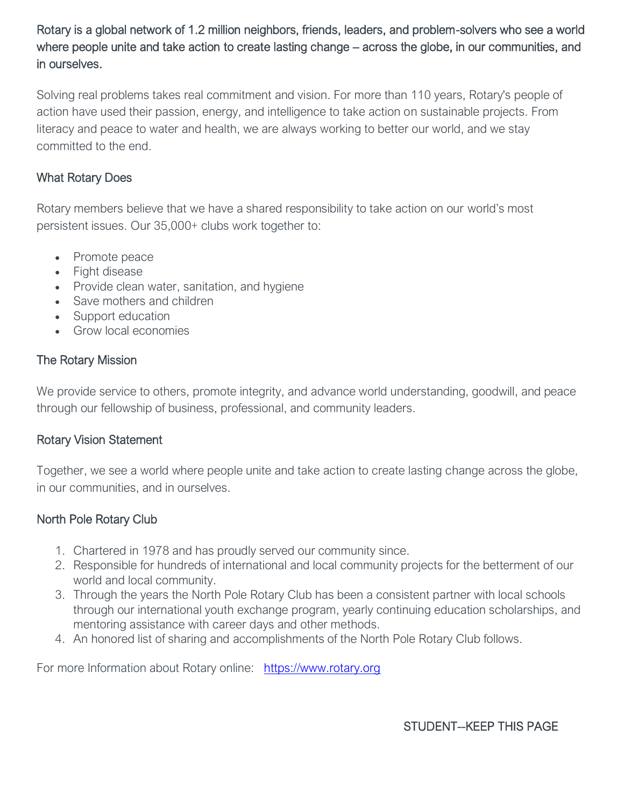Rotary is a global network of 1.2 million neighbors, friends, leaders, and problem-solvers who see a world where people unite and take action to create lasting change – across the globe, in our communities, and in ourselves.

Solving real problems takes real commitment and vision. For more than 110 years, Rotary's people of action have used their passion, energy, and intelligence to take action on sustainable projects. From literacy and peace to water and health, we are always working to better our world, and we stay committed to the end.

## What Rotary Does

Rotary members believe that we have a shared responsibility to take action on our world's most persistent issues. Our 35,000+ clubs work together to:

- Promote peace
- Fight disease
- Provide clean water, sanitation, and hygiene
- Save mothers and children
- Support education
- Grow local economies

## The Rotary Mission

We provide service to others, promote integrity, and advance world understanding, goodwill, and peace through our fellowship of business, professional, and community leaders.

## Rotary Vision Statement

Together, we see a world where people unite and take action to create lasting change across the globe, in our communities, and in ourselves.

## North Pole Rotary Club

- 1. Chartered in 1978 and has proudly served our community since.
- 2. Responsible for hundreds of international and local community projects for the betterment of our world and local community.
- 3. Through the years the North Pole Rotary Club has been a consistent partner with local schools through our international youth exchange program, yearly continuing education scholarships, and mentoring assistance with career days and other methods.
- 4. An honored list of sharing and accomplishments of the North Pole Rotary Club follows.

For more Information about Rotary online: [https://www.rotary.org](https://www.rotary.org/)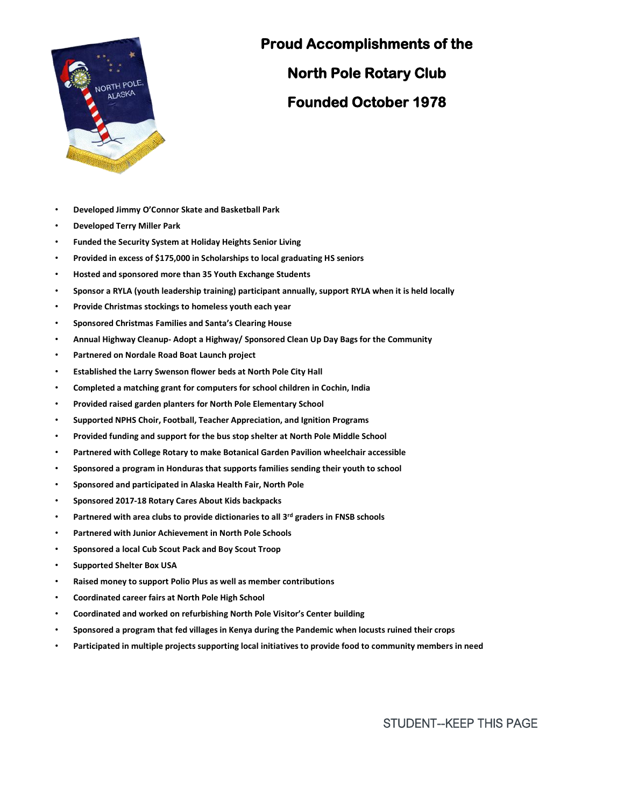

## **Proud Accomplishments of the**

**North Pole Rotary Club Founded October 1978** 

- **Developed Jimmy O'Connor Skate and Basketball Park**
- **Developed Terry Miller Park**
- **Funded the Security System at Holiday Heights Senior Living**
- **Provided in excess of \$175,000 in Scholarships to local graduating HS seniors**
- **Hosted and sponsored more than 35 Youth Exchange Students**
- **Sponsor a RYLA (youth leadership training) participant annually, support RYLA when it is held locally**
- **Provide Christmas stockings to homeless youth each year**
- **Sponsored Christmas Families and Santa's Clearing House**
- **Annual Highway Cleanup- Adopt a Highway/ Sponsored Clean Up Day Bags for the Community**
- **Partnered on Nordale Road Boat Launch project**
- **Established the Larry Swenson flower beds at North Pole City Hall**
- **Completed a matching grant for computers for school children in Cochin, India**
- **Provided raised garden planters for North Pole Elementary School**
- **Supported NPHS Choir, Football, Teacher Appreciation, and Ignition Programs**
- **Provided funding and support for the bus stop shelter at North Pole Middle School**
- **Partnered with College Rotary to make Botanical Garden Pavilion wheelchair accessible**
- **Sponsored a program in Honduras that supports families sending their youth to school**
- **Sponsored and participated in Alaska Health Fair, North Pole**
- **Sponsored 2017-18 Rotary Cares About Kids backpacks**
- **Partnered with area clubs to provide dictionaries to all 3rd graders in FNSB schools**
- **Partnered with Junior Achievement in North Pole Schools**
- **Sponsored a local Cub Scout Pack and Boy Scout Troop**
- **Supported Shelter Box USA**
- **Raised money to support Polio Plus as well as member contributions**
- **Coordinated career fairs at North Pole High School**
- **Coordinated and worked on refurbishing North Pole Visitor's Center building**
- **Sponsored a program that fed villages in Kenya during the Pandemic when locusts ruined their crops**
- **Participated in multiple projects supporting local initiatives to provide food to community members in need**

STUDENT--KEEP THIS PAGE